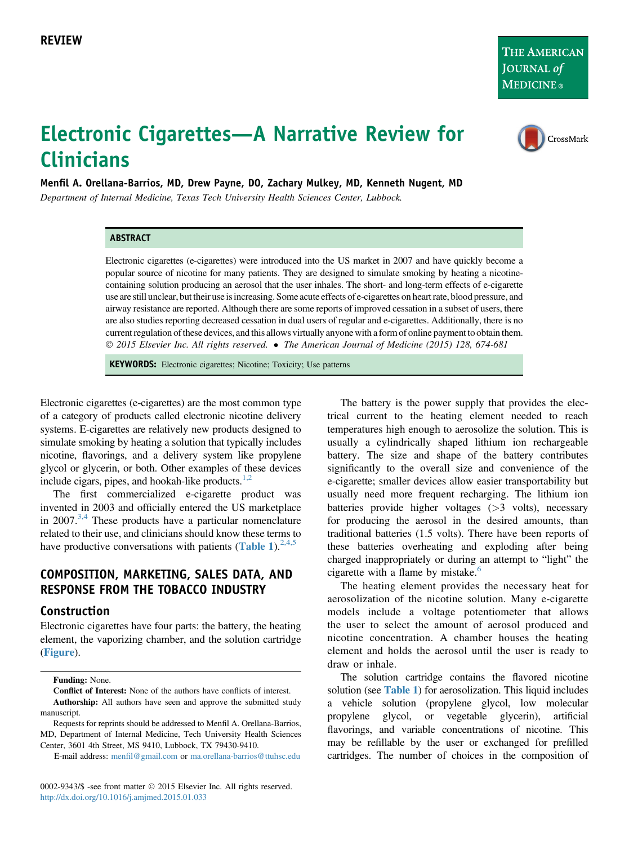THE AMERICAN JOURNAL of **MEDICINE**®

CrossMark

# Electronic Cigarettes—A Narrative Review for Clinicians

Menfil A. Orellana-Barrios, MD, Drew Payne, DO, Zachary Mulkey, MD, Kenneth Nugent, MD

Department of Internal Medicine, Texas Tech University Health Sciences Center, Lubbock.

#### ABSTRACT

Electronic cigarettes (e-cigarettes) were introduced into the US market in 2007 and have quickly become a popular source of nicotine for many patients. They are designed to simulate smoking by heating a nicotinecontaining solution producing an aerosol that the user inhales. The short- and long-term effects of e-cigarette use are still unclear, but their use is increasing. Some acute effects of e-cigarettes on heart rate, blood pressure, and airway resistance are reported. Although there are some reports of improved cessation in a subset of users, there are also studies reporting decreased cessation in dual users of regular and e-cigarettes. Additionally, there is no current regulation of these devices, and this allows virtually anyone with a form of online payment to obtain them. © 2015 Elsevier Inc. All rights reserved. • The American Journal of Medicine (2015) 128, 674-681

KEYWORDS: Electronic cigarettes; Nicotine; Toxicity; Use patterns

Electronic cigarettes (e-cigarettes) are the most common type of a category of products called electronic nicotine delivery systems. E-cigarettes are relatively new products designed to simulate smoking by heating a solution that typically includes nicotine, flavorings, and a delivery system like propylene glycol or glycerin, or both. Other examples of these devices include cigars, pipes, and hookah-like products. $1,2$ 

The first commercialized e-cigarette product was invented in 2003 and officially entered the US marketplace in 2007.<sup>[3,4](#page-6-0)</sup> These products have a particular nomenclature related to their use, and clinicians should know these terms to have productive conversations with patients ([Table 1](#page-1-0)).<sup>[2,4,5](#page-6-0)</sup>

### COMPOSITION, MARKETING, SALES DATA, AND RESPONSE FROM THE TOBACCO INDUSTRY

#### Construction

Electronic cigarettes have four parts: the battery, the heating element, the vaporizing chamber, and the solution cartridge ([Figure](#page-2-0)).

Funding: None.

Conflict of Interest: None of the authors have conflicts of interest. Authorship: All authors have seen and approve the submitted study manuscript.

Requests for reprints should be addressed to Menfil A. Orellana-Barrios, MD, Department of Internal Medicine, Tech University Health Sciences Center, 3601 4th Street, MS 9410, Lubbock, TX 79430-9410.

E-mail address: menfi[l@gmail.com](mailto:menfil@gmail.com) or [ma.orellana-barrios@ttuhsc.edu](mailto:ma.orellana-barrios@ttuhsc.edu)

0002-9343/\$ -see front matter © 2015 Elsevier Inc. All rights reserved. <http://dx.doi.org/10.1016/j.amjmed.2015.01.033>

The battery is the power supply that provides the electrical current to the heating element needed to reach temperatures high enough to aerosolize the solution. This is usually a cylindrically shaped lithium ion rechargeable battery. The size and shape of the battery contributes significantly to the overall size and convenience of the e-cigarette; smaller devices allow easier transportability but usually need more frequent recharging. The lithium ion batteries provide higher voltages (>3 volts), necessary for producing the aerosol in the desired amounts, than traditional batteries (1.5 volts). There have been reports of these batteries overheating and exploding after being charged inappropriately or during an attempt to "light" the cigarette with a flame by mistake. $6$ 

The heating element provides the necessary heat for aerosolization of the nicotine solution. Many e-cigarette models include a voltage potentiometer that allows the user to select the amount of aerosol produced and nicotine concentration. A chamber houses the heating element and holds the aerosol until the user is ready to draw or inhale.

The solution cartridge contains the flavored nicotine solution (see **[Table 1](#page-1-0)**) for aerosolization. This liquid includes a vehicle solution (propylene glycol, low molecular propylene glycol, or vegetable glycerin), artificial flavorings, and variable concentrations of nicotine. This may be refillable by the user or exchanged for prefilled cartridges. The number of choices in the composition of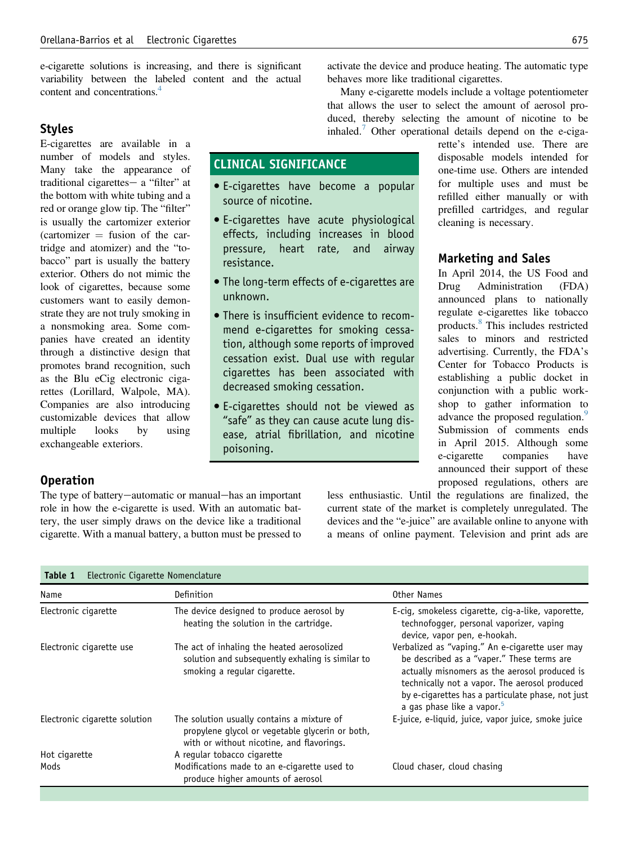<span id="page-1-0"></span>e-cigarette solutions is increasing, and there is significant variability between the labeled content and the actual content and concentrations.[4](#page-6-0)

## Styles

E-cigarettes are available in a number of models and styles. Many take the appearance of traditional cigarettes- a "filter" at the bottom with white tubing and a red or orange glow tip. The "filter" is usually the cartomizer exterior  $(cartomizer = fusion of the car$ tridge and atomizer) and the "tobacco" part is usually the battery exterior. Others do not mimic the look of cigarettes, because some customers want to easily demonstrate they are not truly smoking in a nonsmoking area. Some companies have created an identity through a distinctive design that promotes brand recognition, such as the Blu eCig electronic cigarettes (Lorillard, Walpole, MA). Companies are also introducing customizable devices that allow multiple looks by using exchangeable exteriors.

activate the device and produce heating. The automatic type behaves more like traditional cigarettes.

Many e-cigarette models include a voltage potentiometer that allows the user to select the amount of aerosol produced, thereby selecting the amount of nicotine to be inhaled.<sup>[7](#page-6-0)</sup> Other operational details depend on the e-ciga-

# CLINICAL SIGNIFICANCE

- E-cigarettes have become a popular source of nicotine.
- E-cigarettes have acute physiological effects, including increases in blood pressure, heart rate, and airway resistance.
- The long-term effects of e-cigarettes are unknown.
- There is insufficient evidence to recommend e-cigarettes for smoking cessation, although some reports of improved cessation exist. Dual use with regular cigarettes has been associated with decreased smoking cessation.
- E-cigarettes should not be viewed as "safe" as they can cause acute lung disease, atrial fibrillation, and nicotine poisoning.

rette's intended use. There are disposable models intended for one-time use. Others are intended for multiple uses and must be refilled either manually or with prefilled cartridges, and regular cleaning is necessary.

#### Marketing and Sales

In April 2014, the US Food and Drug Administration (FDA) announced plans to nationally regulate e-cigarettes like tobacco products.[8](#page-6-0) This includes restricted sales to minors and restricted advertising. Currently, the FDA's Center for Tobacco Products is establishing a public docket in conjunction with a public workshop to gather information to advance the proposed regulation.<sup>[9](#page-6-0)</sup> Submission of comments ends in April 2015. Although some e-cigarette companies have announced their support of these proposed regulations, others are

# Operation

The type of battery-automatic or manual-has an important role in how the e-cigarette is used. With an automatic battery, the user simply draws on the device like a traditional cigarette. With a manual battery, a button must be pressed to less enthusiastic. Until the regulations are finalized, the current state of the market is completely unregulated. The devices and the "e-juice" are available online to anyone with a means of online payment. Television and print ads are

| Table 1<br>Electronic Cigarette Nomenclature |                                                                                                                                            |                                                                                                                                                                                                                                                                                                |  |
|----------------------------------------------|--------------------------------------------------------------------------------------------------------------------------------------------|------------------------------------------------------------------------------------------------------------------------------------------------------------------------------------------------------------------------------------------------------------------------------------------------|--|
| Name                                         | Definition                                                                                                                                 | Other Names                                                                                                                                                                                                                                                                                    |  |
| Electronic cigarette                         | The device designed to produce aerosol by<br>heating the solution in the cartridge.                                                        | E-cig, smokeless cigarette, cig-a-like, vaporette,<br>technofogger, personal vaporizer, vaping<br>device, vapor pen, e-hookah.                                                                                                                                                                 |  |
| Electronic cigarette use                     | The act of inhaling the heated aerosolized<br>solution and subsequently exhaling is similar to<br>smoking a regular cigarette.             | Verbalized as "vaping." An e-cigarette user may<br>be described as a "vaper." These terms are<br>actually misnomers as the aerosol produced is<br>technically not a vapor. The aerosol produced<br>by e-cigarettes has a particulate phase, not just<br>a gas phase like a vapor. <sup>5</sup> |  |
| Electronic cigarette solution                | The solution usually contains a mixture of<br>propylene glycol or vegetable glycerin or both,<br>with or without nicotine, and flavorings. | E-juice, e-liquid, juice, vapor juice, smoke juice                                                                                                                                                                                                                                             |  |
| Hot cigarette                                | A regular tobacco cigarette                                                                                                                |                                                                                                                                                                                                                                                                                                |  |
| Mods                                         | Modifications made to an e-cigarette used to<br>produce higher amounts of aerosol                                                          | Cloud chaser, cloud chasing                                                                                                                                                                                                                                                                    |  |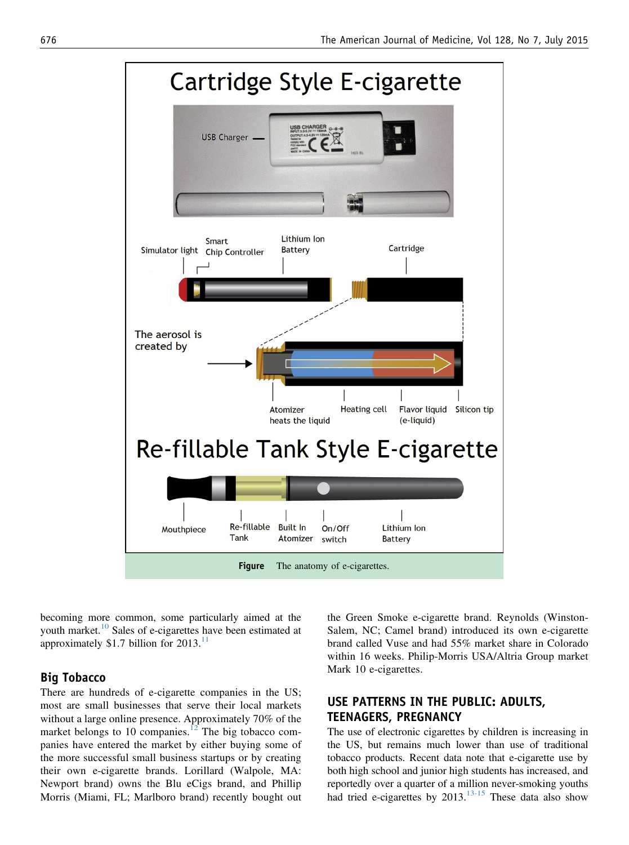<span id="page-2-0"></span>

becoming more common, some particularly aimed at the youth market.<sup>[10](#page-6-0)</sup> Sales of e-cigarettes have been estimated at approximately \$1.7 billion for  $2013$ .<sup>[11](#page-6-0)</sup>

#### Big Tobacco

There are hundreds of e-cigarette companies in the US; most are small businesses that serve their local markets without a large online presence. Approximately 70% of the market belongs to 10 companies.<sup>[12](#page-6-0)</sup> The big tobacco companies have entered the market by either buying some of the more successful small business startups or by creating their own e-cigarette brands. Lorillard (Walpole, MA: Newport brand) owns the Blu eCigs brand, and Phillip Morris (Miami, FL; Marlboro brand) recently bought out the Green Smoke e-cigarette brand. Reynolds (Winston-Salem, NC; Camel brand) introduced its own e-cigarette brand called Vuse and had 55% market share in Colorado within 16 weeks. Philip-Morris USA/Altria Group market Mark 10 e-cigarettes.

# USE PATTERNS IN THE PUBLIC: ADULTS, TEENAGERS, PREGNANCY

The use of electronic cigarettes by children is increasing in the US, but remains much lower than use of traditional tobacco products. Recent data note that e-cigarette use by both high school and junior high students has increased, and reportedly over a quarter of a million never-smoking youths had tried e-cigarettes by 2013.<sup>[13-15](#page-6-0)</sup> These data also show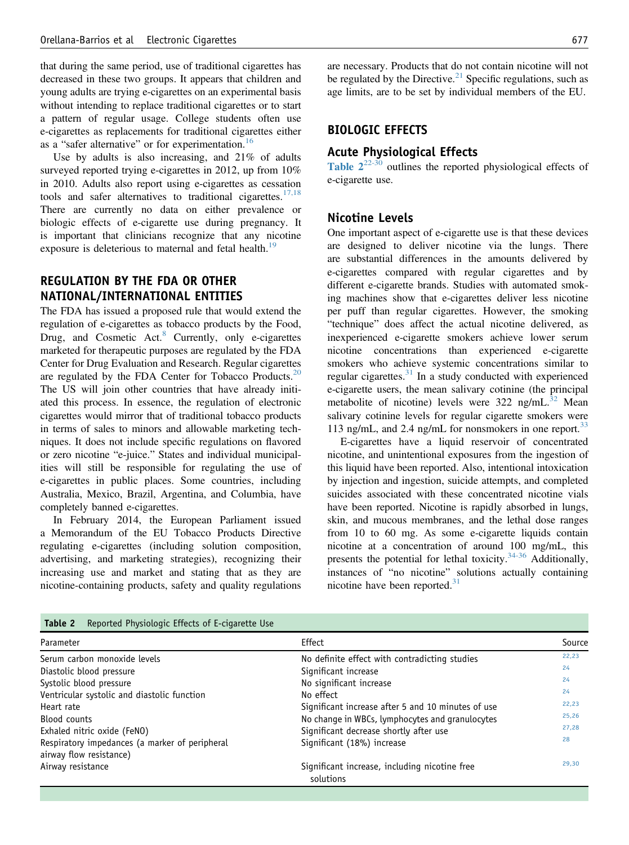that during the same period, use of traditional cigarettes has decreased in these two groups. It appears that children and young adults are trying e-cigarettes on an experimental basis without intending to replace traditional cigarettes or to start a pattern of regular usage. College students often use e-cigarettes as replacements for traditional cigarettes either as a "safer alternative" or for experimentation.<sup>[16](#page-6-0)</sup>

Use by adults is also increasing, and 21% of adults surveyed reported trying e-cigarettes in 2012, up from 10% in 2010. Adults also report using e-cigarettes as cessation tools and safer alternatives to traditional cigarettes.<sup>[17,18](#page-6-0)</sup> There are currently no data on either prevalence or biologic effects of e-cigarette use during pregnancy. It is important that clinicians recognize that any nicotine exposure is deleterious to maternal and fetal health.<sup>[19](#page-6-0)</sup>

# REGULATION BY THE FDA OR OTHER NATIONAL/INTERNATIONAL ENTITIES

The FDA has issued a proposed rule that would extend the regulation of e-cigarettes as tobacco products by the Food, Drug, and Cosmetic Act. $8$  Currently, only e-cigarettes marketed for therapeutic purposes are regulated by the FDA Center for Drug Evaluation and Research. Regular cigarettes are regulated by the FDA Center for Tobacco Products. $20$ The US will join other countries that have already initiated this process. In essence, the regulation of electronic cigarettes would mirror that of traditional tobacco products in terms of sales to minors and allowable marketing techniques. It does not include specific regulations on flavored or zero nicotine "e-juice." States and individual municipalities will still be responsible for regulating the use of e-cigarettes in public places. Some countries, including Australia, Mexico, Brazil, Argentina, and Columbia, have completely banned e-cigarettes.

In February 2014, the European Parliament issued a Memorandum of the EU Tobacco Products Directive regulating e-cigarettes (including solution composition, advertising, and marketing strategies), recognizing their increasing use and market and stating that as they are nicotine-containing products, safety and quality regulations

are necessary. Products that do not contain nicotine will not be regulated by the Directive. $21$  Specific regulations, such as age limits, are to be set by individual members of the EU.

#### BIOLOGIC EFFECTS

# Acute Physiological Effects

Table  $2^{22-30}$  $2^{22-30}$  $2^{22-30}$  outlines the reported physiological effects of e-cigarette use.

#### Nicotine Levels

One important aspect of e-cigarette use is that these devices are designed to deliver nicotine via the lungs. There are substantial differences in the amounts delivered by e-cigarettes compared with regular cigarettes and by different e-cigarette brands. Studies with automated smoking machines show that e-cigarettes deliver less nicotine per puff than regular cigarettes. However, the smoking "technique" does affect the actual nicotine delivered, as inexperienced e-cigarette smokers achieve lower serum nicotine concentrations than experienced e-cigarette smokers who achieve systemic concentrations similar to regular cigarettes. $31$  In a study conducted with experienced e-cigarette users, the mean salivary cotinine (the principal metabolite of nicotine) levels were  $322$  $322$  ng/mL.<sup>32</sup> Mean salivary cotinine levels for regular cigarette smokers were 113 ng/mL, and 2.4 ng/mL for nonsmokers in one report.<sup>[33](#page-6-0)</sup>

E-cigarettes have a liquid reservoir of concentrated nicotine, and unintentional exposures from the ingestion of this liquid have been reported. Also, intentional intoxication by injection and ingestion, suicide attempts, and completed suicides associated with these concentrated nicotine vials have been reported. Nicotine is rapidly absorbed in lungs, skin, and mucous membranes, and the lethal dose ranges from 10 to 60 mg. As some e-cigarette liquids contain nicotine at a concentration of around 100 mg/mL, this presents the potential for lethal toxicity. $34-36$  Additionally, instances of "no nicotine" solutions actually containing nicotine have been reported. $31$ 

| Parameter                                                                 | Effect                                                     | Source |
|---------------------------------------------------------------------------|------------------------------------------------------------|--------|
| Serum carbon monoxide levels                                              | No definite effect with contradicting studies              | 22,23  |
| Diastolic blood pressure                                                  | Significant increase                                       | 24     |
| Systolic blood pressure                                                   | No significant increase                                    | 24     |
| Ventricular systolic and diastolic function                               | No effect                                                  | 24     |
| Heart rate                                                                | Significant increase after 5 and 10 minutes of use         | 22,23  |
| Blood counts                                                              | No change in WBCs, lymphocytes and granulocytes            | 25,26  |
| Exhaled nitric oxide (FeNO)                                               | Significant decrease shortly after use                     | 27.28  |
| Respiratory impedances (a marker of peripheral<br>airway flow resistance) | Significant (18%) increase                                 | 28     |
| Airway resistance                                                         | Significant increase, including nicotine free<br>solutions | 29.30  |

#### Table 2 Reported Physiologic Effects of E-cigarette Use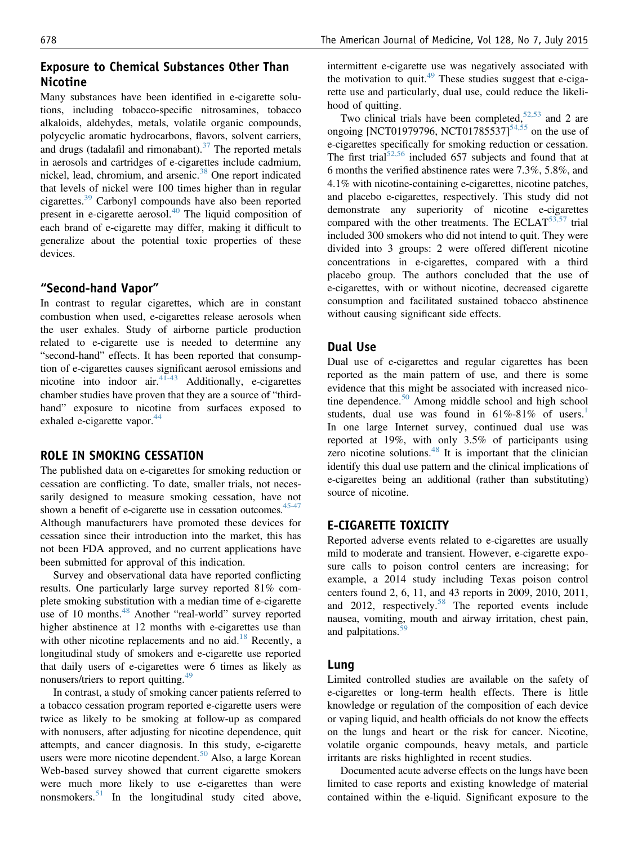## Exposure to Chemical Substances Other Than Nicotine

Many substances have been identified in e-cigarette solutions, including tobacco-specific nitrosamines, tobacco alkaloids, aldehydes, metals, volatile organic compounds, polycyclic aromatic hydrocarbons, flavors, solvent carriers, and drugs (tadalafil and rimonabant). $37$  The reported metals in aerosols and cartridges of e-cigarettes include cadmium, nickel, lead, chromium, and arsenic.<sup>[38](#page-7-0)</sup> One report indicated that levels of nickel were 100 times higher than in regular cigarettes.[39](#page-7-0) Carbonyl compounds have also been reported present in e-cigarette aerosol.[40](#page-7-0) The liquid composition of each brand of e-cigarette may differ, making it difficult to generalize about the potential toxic properties of these devices.

#### "Second-hand Vapor"

In contrast to regular cigarettes, which are in constant combustion when used, e-cigarettes release aerosols when the user exhales. Study of airborne particle production related to e-cigarette use is needed to determine any "second-hand" effects. It has been reported that consumption of e-cigarettes causes significant aerosol emissions and nicotine into indoor air. $4\overline{1}$ -43 Additionally, e-cigarettes chamber studies have proven that they are a source of "thirdhand" exposure to nicotine from surfaces exposed to exhaled e-cigarette vapor.<sup>[44](#page-7-0)</sup>

#### ROLE IN SMOKING CESSATION

The published data on e-cigarettes for smoking reduction or cessation are conflicting. To date, smaller trials, not necessarily designed to measure smoking cessation, have not shown a benefit of e-cigarette use in cessation outcomes.  $45-47$ Although manufacturers have promoted these devices for cessation since their introduction into the market, this has not been FDA approved, and no current applications have been submitted for approval of this indication.

Survey and observational data have reported conflicting results. One particularly large survey reported 81% complete smoking substitution with a median time of e-cigarette use of 10 months.<sup>[48](#page-7-0)</sup> Another "real-world" survey reported higher abstinence at 12 months with e-cigarettes use than with other nicotine replacements and no aid.<sup>[18](#page-6-0)</sup> Recently, a longitudinal study of smokers and e-cigarette use reported that daily users of e-cigarettes were 6 times as likely as nonusers/triers to report quitting.<sup>[49](#page-7-0)</sup>

In contrast, a study of smoking cancer patients referred to a tobacco cessation program reported e-cigarette users were twice as likely to be smoking at follow-up as compared with nonusers, after adjusting for nicotine dependence, quit attempts, and cancer diagnosis. In this study, e-cigarette users were more nicotine dependent.<sup>[50](#page-7-0)</sup> Also, a large Korean Web-based survey showed that current cigarette smokers were much more likely to use e-cigarettes than were nonsmokers.<sup>[51](#page-7-0)</sup> In the longitudinal study cited above,

intermittent e-cigarette use was negatively associated with the motivation to quit.<sup>[49](#page-7-0)</sup> These studies suggest that e-cigarette use and particularly, dual use, could reduce the likelihood of quitting.

Two clinical trials have been completed,<sup>[52,53](#page-7-0)</sup> and 2 are ongoing [NCT01979796, NCT01785537]<sup>54,55</sup> on the use of e-cigarettes specifically for smoking reduction or cessation. The first trial<sup>[52,56](#page-7-0)</sup> included 657 subjects and found that at 6 months the verified abstinence rates were 7.3%, 5.8%, and 4.1% with nicotine-containing e-cigarettes, nicotine patches, and placebo e-cigarettes, respectively. This study did not demonstrate any superiority of nicotine e-cigarettes compared with the other treatments. The ECLAT $53,57$  trial included 300 smokers who did not intend to quit. They were divided into 3 groups: 2 were offered different nicotine concentrations in e-cigarettes, compared with a third placebo group. The authors concluded that the use of e-cigarettes, with or without nicotine, decreased cigarette consumption and facilitated sustained tobacco abstinence without causing significant side effects.

#### Dual Use

Dual use of e-cigarettes and regular cigarettes has been reported as the main pattern of use, and there is some evidence that this might be associated with increased nico-tine dependence.<sup>[50](#page-7-0)</sup> Among middle school and high school students, dual use was found in  $61\% - 81\%$  $61\% - 81\%$  $61\% - 81\%$  of users.<sup>1</sup> In one large Internet survey, continued dual use was reported at 19%, with only 3.5% of participants using zero nicotine solutions.<sup>[48](#page-7-0)</sup> It is important that the clinician identify this dual use pattern and the clinical implications of e-cigarettes being an additional (rather than substituting) source of nicotine.

#### E-CIGARETTE TOXICITY

Reported adverse events related to e-cigarettes are usually mild to moderate and transient. However, e-cigarette exposure calls to poison control centers are increasing; for example, a 2014 study including Texas poison control centers found 2, 6, 11, and 43 reports in 2009, 2010, 2011, and 2012, respectively.<sup>[58](#page-7-0)</sup> The reported events include nausea, vomiting, mouth and airway irritation, chest pain, and palpitations.<sup>5</sup>

#### Lung

Limited controlled studies are available on the safety of e-cigarettes or long-term health effects. There is little knowledge or regulation of the composition of each device or vaping liquid, and health officials do not know the effects on the lungs and heart or the risk for cancer. Nicotine, volatile organic compounds, heavy metals, and particle irritants are risks highlighted in recent studies.

Documented acute adverse effects on the lungs have been limited to case reports and existing knowledge of material contained within the e-liquid. Significant exposure to the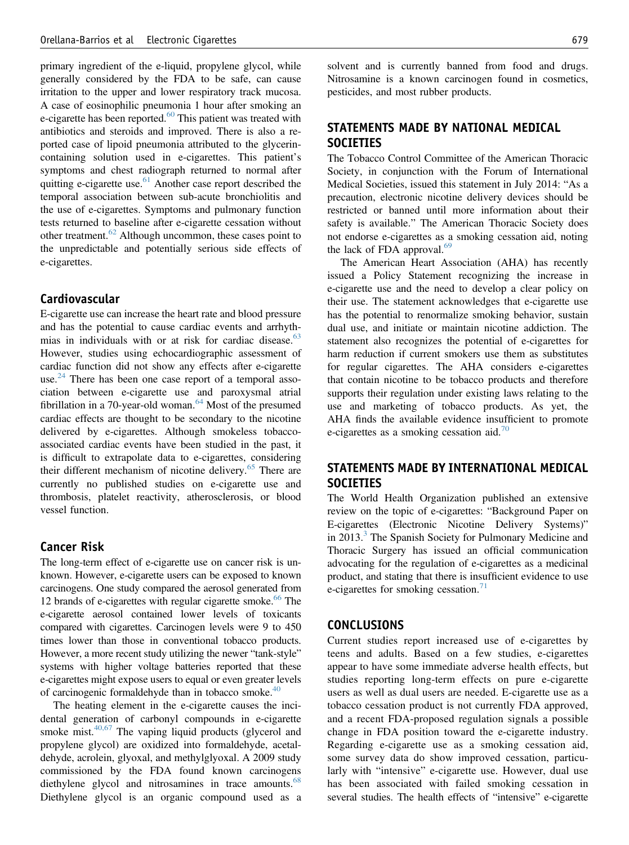primary ingredient of the e-liquid, propylene glycol, while generally considered by the FDA to be safe, can cause irritation to the upper and lower respiratory track mucosa. A case of eosinophilic pneumonia 1 hour after smoking an e-cigarette has been reported.<sup>[60](#page-7-0)</sup> This patient was treated with antibiotics and steroids and improved. There is also a reported case of lipoid pneumonia attributed to the glycerincontaining solution used in e-cigarettes. This patient's symptoms and chest radiograph returned to normal after quitting e-cigarette use.<sup>[61](#page-7-0)</sup> Another case report described the temporal association between sub-acute bronchiolitis and the use of e-cigarettes. Symptoms and pulmonary function tests returned to baseline after e-cigarette cessation without other treatment.<sup>[62](#page-7-0)</sup> Although uncommon, these cases point to the unpredictable and potentially serious side effects of e-cigarettes.

#### Cardiovascular

E-cigarette use can increase the heart rate and blood pressure and has the potential to cause cardiac events and arrhyth-mias in individuals with or at risk for cardiac disease.<sup>[63](#page-7-0)</sup> However, studies using echocardiographic assessment of cardiac function did not show any effects after e-cigarette use. $^{24}$  $^{24}$  $^{24}$  There has been one case report of a temporal association between e-cigarette use and paroxysmal atrial fibrillation in a 70-year-old woman. $64$  Most of the presumed cardiac effects are thought to be secondary to the nicotine delivered by e-cigarettes. Although smokeless tobaccoassociated cardiac events have been studied in the past, it is difficult to extrapolate data to e-cigarettes, considering their different mechanism of nicotine delivery.<sup>[65](#page-7-0)</sup> There are currently no published studies on e-cigarette use and thrombosis, platelet reactivity, atherosclerosis, or blood vessel function.

#### Cancer Risk

The long-term effect of e-cigarette use on cancer risk is unknown. However, e-cigarette users can be exposed to known carcinogens. One study compared the aerosol generated from 12 brands of e-cigarettes with regular cigarette smoke.<sup>[66](#page-7-0)</sup> The e-cigarette aerosol contained lower levels of toxicants compared with cigarettes. Carcinogen levels were 9 to 450 times lower than those in conventional tobacco products. However, a more recent study utilizing the newer "tank-style" systems with higher voltage batteries reported that these e-cigarettes might expose users to equal or even greater levels of carcinogenic formaldehyde than in tobacco smoke.<sup>[40](#page-7-0)</sup>

The heating element in the e-cigarette causes the incidental generation of carbonyl compounds in e-cigarette smoke mist. $40,67$  The vaping liquid products (glycerol and propylene glycol) are oxidized into formaldehyde, acetaldehyde, acrolein, glyoxal, and methylglyoxal. A 2009 study commissioned by the FDA found known carcinogens diethylene glycol and nitrosamines in trace amounts.<sup>[68](#page-7-0)</sup> Diethylene glycol is an organic compound used as a solvent and is currently banned from food and drugs. Nitrosamine is a known carcinogen found in cosmetics, pesticides, and most rubber products.

# STATEMENTS MADE BY NATIONAL MEDICAL **SOCIETIES**

The Tobacco Control Committee of the American Thoracic Society, in conjunction with the Forum of International Medical Societies, issued this statement in July 2014: "As a precaution, electronic nicotine delivery devices should be restricted or banned until more information about their safety is available." The American Thoracic Society does not endorse e-cigarettes as a smoking cessation aid, noting the lack of FDA approval. $^{69}$  $^{69}$  $^{69}$ 

The American Heart Association (AHA) has recently issued a Policy Statement recognizing the increase in e-cigarette use and the need to develop a clear policy on their use. The statement acknowledges that e-cigarette use has the potential to renormalize smoking behavior, sustain dual use, and initiate or maintain nicotine addiction. The statement also recognizes the potential of e-cigarettes for harm reduction if current smokers use them as substitutes for regular cigarettes. The AHA considers e-cigarettes that contain nicotine to be tobacco products and therefore supports their regulation under existing laws relating to the use and marketing of tobacco products. As yet, the AHA finds the available evidence insufficient to promote e-cigarettes as a smoking cessation aid.<sup>[70](#page-7-0)</sup>

# STATEMENTS MADE BY INTERNATIONAL MEDICAL **SOCIETIES**

The World Health Organization published an extensive review on the topic of e-cigarettes: "Background Paper on E-cigarettes (Electronic Nicotine Delivery Systems)" in 201[3](#page-6-0).<sup>3</sup> The Spanish Society for Pulmonary Medicine and Thoracic Surgery has issued an official communication advocating for the regulation of e-cigarettes as a medicinal product, and stating that there is insufficient evidence to use e-cigarettes for smoking cessation.<sup>[71](#page-7-0)</sup>

#### CONCLUSIONS

Current studies report increased use of e-cigarettes by teens and adults. Based on a few studies, e-cigarettes appear to have some immediate adverse health effects, but studies reporting long-term effects on pure e-cigarette users as well as dual users are needed. E-cigarette use as a tobacco cessation product is not currently FDA approved, and a recent FDA-proposed regulation signals a possible change in FDA position toward the e-cigarette industry. Regarding e-cigarette use as a smoking cessation aid, some survey data do show improved cessation, particularly with "intensive" e-cigarette use. However, dual use has been associated with failed smoking cessation in several studies. The health effects of "intensive" e-cigarette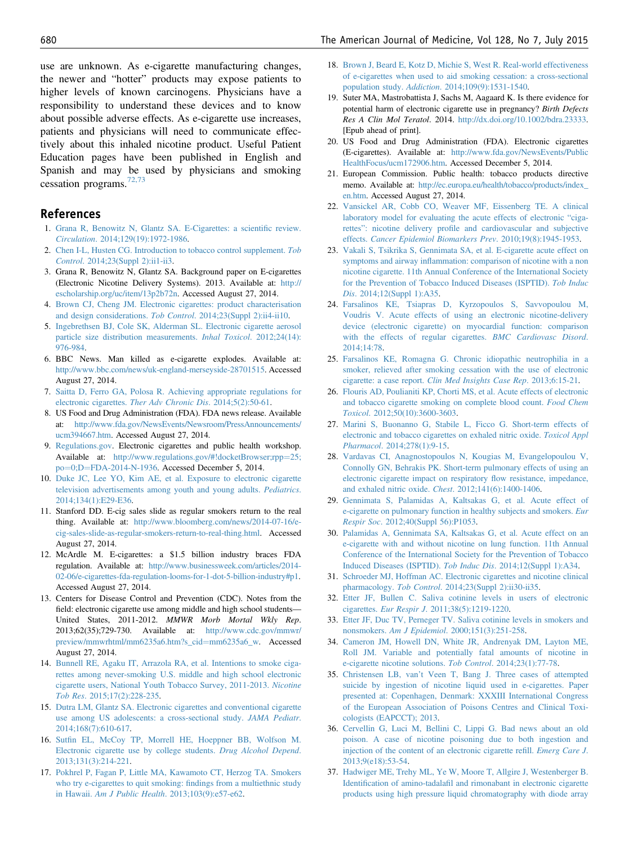<span id="page-6-0"></span>use are unknown. As e-cigarette manufacturing changes, the newer and "hotter" products may expose patients to higher levels of known carcinogens. Physicians have a responsibility to understand these devices and to know about possible adverse effects. As e-cigarette use increases, patients and physicians will need to communicate effectively about this inhaled nicotine product. Useful Patient Education pages have been published in English and Spanish and may be used by physicians and smoking cessation programs.<sup>[72,73](#page-7-0)</sup>

#### References

- 1. [Grana R, Benowitz N, Glantz SA. E-Cigarettes: a scienti](http://refhub.elsevier.com/S0002-9343(15)00165-5/sref1)fic review. Circulation[. 2014;129\(19\):1972-1986.](http://refhub.elsevier.com/S0002-9343(15)00165-5/sref1)
- 2. [Chen I-L, Husten CG. Introduction to tobacco control supplement.](http://refhub.elsevier.com/S0002-9343(15)00165-5/sref2) Tob Control[. 2014;23\(Suppl 2\):ii1-ii3.](http://refhub.elsevier.com/S0002-9343(15)00165-5/sref2)
- 3. Grana R, Benowitz N, Glantz SA. Background paper on E-cigarettes (Electronic Nicotine Delivery Systems). 2013. Available at: [http://](http://escholarship.org/uc/item/13p2b72n) [escholarship.org/uc/item/13p2b72n](http://escholarship.org/uc/item/13p2b72n). Accessed August 27, 2014.
- 4. [Brown CJ, Cheng JM. Electronic cigarettes: product characterisation](http://refhub.elsevier.com/S0002-9343(15)00165-5/sref3) and design considerations. Tob Control[. 2014;23\(Suppl 2\):ii4-ii10.](http://refhub.elsevier.com/S0002-9343(15)00165-5/sref3)
- 5. [Ingebrethsen BJ, Cole SK, Alderman SL. Electronic cigarette aerosol](http://refhub.elsevier.com/S0002-9343(15)00165-5/sref4) [particle size distribution measurements.](http://refhub.elsevier.com/S0002-9343(15)00165-5/sref4) Inhal Toxicol. 2012;24(14): [976-984](http://refhub.elsevier.com/S0002-9343(15)00165-5/sref4).
- 6. BBC News. Man killed as e-cigarette explodes. Available at: <http://www.bbc.com/news/uk-england-merseyside-28701515>. Accessed August 27, 2014.
- 7. [Saitta D, Ferro GA, Polosa R. Achieving appropriate regulations for](http://refhub.elsevier.com/S0002-9343(15)00165-5/sref5) electronic cigarettes. [Ther Adv Chronic Dis](http://refhub.elsevier.com/S0002-9343(15)00165-5/sref5). 2014;5(2):50-61.
- 8. US Food and Drug Administration (FDA). FDA news release. Available at: [http://www.fda.gov/NewsEvents/Newsroom/PressAnnouncements/](http://www.fda.gov/NewsEvents/Newsroom/PressAnnouncements/ucm394667.htm) [ucm394667.htm.](http://www.fda.gov/NewsEvents/Newsroom/PressAnnouncements/ucm394667.htm) Accessed August 27, 2014.
- 9. [Regulations.gov.](http://Regulations.gov) Electronic cigarettes and public health workshop. Available at: [http://www.regulations.gov/#!docketBrowser;rpp](http://www.regulations.gov/#!docketBrowser;rpp=25;po=0;D=FDA-2014-N-1936)=[25;](http://www.regulations.gov/#!docketBrowser;rpp=25;po=0;D=FDA-2014-N-1936) [po](http://www.regulations.gov/#!docketBrowser;rpp=25;po=0;D=FDA-2014-N-1936)=[0;D](http://www.regulations.gov/#!docketBrowser;rpp=25;po=0;D=FDA-2014-N-1936)=[FDA-2014-N-1936](http://www.regulations.gov/#!docketBrowser;rpp=25;po=0;D=FDA-2014-N-1936). Accessed December 5, 2014.
- 10. [Duke JC, Lee YO, Kim AE, et al. Exposure to electronic cigarette](http://refhub.elsevier.com/S0002-9343(15)00165-5/sref6) [television advertisements among youth and young adults.](http://refhub.elsevier.com/S0002-9343(15)00165-5/sref6) Pediatrics. [2014;134\(1\):E29-E36](http://refhub.elsevier.com/S0002-9343(15)00165-5/sref6).
- 11. Stanford DD. E-cig sales slide as regular smokers return to the real thing. Available at: [http://www.bloomberg.com/news/2014-07-16/e](http://www.bloomberg.com/news/2014-07-16/e-cig-sales-slide-as-regular-smokers-return-to-real-thing.html)[cig-sales-slide-as-regular-smokers-return-to-real-thing.html.](http://www.bloomberg.com/news/2014-07-16/e-cig-sales-slide-as-regular-smokers-return-to-real-thing.html) Accessed August 27, 2014.
- 12. McArdle M. E-cigarettes: a \$1.5 billion industry braces FDA regulation. Available at: [http://www.businessweek.com/articles/2014-](http://www.businessweek.com/articles/2014-02-06/e-cigarettes-fda-regulation-looms-for-1-dot-5-billion-industry#p1) [02-06/e-cigarettes-fda-regulation-looms-for-1-dot-5-billion-industry#p1.](http://www.businessweek.com/articles/2014-02-06/e-cigarettes-fda-regulation-looms-for-1-dot-5-billion-industry#p1) Accessed August 27, 2014.
- 13. Centers for Disease Control and Prevention (CDC). Notes from the field: electronic cigarette use among middle and high school students— United States, 2011-2012. MMWR Morb Mortal Wkly Rep. 2013;62(35);729-730. Available at: [http://www.cdc.gov/mmwr/](http://www.cdc.gov/mmwr/preview/mmwrhtml/mm6235a6.htm?s_cid=mm6235a6_w) [preview/mmwrhtml/mm6235a6.htm?s\\_cid](http://www.cdc.gov/mmwr/preview/mmwrhtml/mm6235a6.htm?s_cid=mm6235a6_w)=[mm6235a6\\_w](http://www.cdc.gov/mmwr/preview/mmwrhtml/mm6235a6.htm?s_cid=mm6235a6_w). Accessed August 27, 2014.
- 14. [Bunnell RE, Agaku IT, Arrazola RA, et al. Intentions to smoke ciga](http://refhub.elsevier.com/S0002-9343(15)00165-5/sref7)[rettes among never-smoking U.S. middle and high school electronic](http://refhub.elsevier.com/S0002-9343(15)00165-5/sref7) [cigarette users, National Youth Tobacco Survey, 2011-2013.](http://refhub.elsevier.com/S0002-9343(15)00165-5/sref7) Nicotine Tob Res[. 2015;17\(2\):228-235.](http://refhub.elsevier.com/S0002-9343(15)00165-5/sref7)
- 15. [Dutra LM, Glantz SA. Electronic cigarettes and conventional cigarette](http://refhub.elsevier.com/S0002-9343(15)00165-5/sref8) [use among US adolescents: a cross-sectional study.](http://refhub.elsevier.com/S0002-9343(15)00165-5/sref8) JAMA Pediatr. [2014;168\(7\):610-617.](http://refhub.elsevier.com/S0002-9343(15)00165-5/sref8)
- 16. Sutfi[n EL, McCoy TP, Morrell HE, Hoeppner BB, Wolfson M.](http://refhub.elsevier.com/S0002-9343(15)00165-5/sref9) [Electronic cigarette use by college students.](http://refhub.elsevier.com/S0002-9343(15)00165-5/sref9) Drug Alcohol Depend. [2013;131\(3\):214-221.](http://refhub.elsevier.com/S0002-9343(15)00165-5/sref9)
- 17. [Pokhrel P, Fagan P, Little MA, Kawamoto CT, Herzog TA. Smokers](http://refhub.elsevier.com/S0002-9343(15)00165-5/sref10) [who try e-cigarettes to quit smoking:](http://refhub.elsevier.com/S0002-9343(15)00165-5/sref10) findings from a multiethnic study in Hawaii. Am J Public Health[. 2013;103\(9\):e57-e62](http://refhub.elsevier.com/S0002-9343(15)00165-5/sref10).
- 18. [Brown J, Beard E, Kotz D, Michie S, West R. Real-world effectiveness](http://refhub.elsevier.com/S0002-9343(15)00165-5/sref11) [of e-cigarettes when used to aid smoking cessation: a cross-sectional](http://refhub.elsevier.com/S0002-9343(15)00165-5/sref11) population study. Addiction[. 2014;109\(9\):1531-1540](http://refhub.elsevier.com/S0002-9343(15)00165-5/sref11).
- 19. Suter MA, Mastrobattista J, Sachs M, Aagaard K. Is there evidence for potential harm of electronic cigarette use in pregnancy? Birth Defects Res A Clin Mol Teratol. 2014. <http://dx.doi.org/10.1002/bdra.23333>. [Epub ahead of print].
- 20. US Food and Drug Administration (FDA). Electronic cigarettes (E-cigarettes). Available at: [http://www.fda.gov/NewsEvents/Public](http://www.fda.gov/NewsEvents/PublicHealthFocus/ucm172906.htm) [HealthFocus/ucm172906.htm.](http://www.fda.gov/NewsEvents/PublicHealthFocus/ucm172906.htm) Accessed December 5, 2014.
- 21. European Commission. Public health: tobacco products directive memo. Available at: [http://ec.europa.eu/health/tobacco/products/index\\_](http://ec.europa.eu/health/tobacco/products/index_en.htm) [en.htm](http://ec.europa.eu/health/tobacco/products/index_en.htm). Accessed August 27, 2014.
- 22. [Vansickel AR, Cobb CO, Weaver MF, Eissenberg TE. A clinical](http://refhub.elsevier.com/S0002-9343(15)00165-5/sref13) [laboratory model for evaluating the acute effects of electronic](http://refhub.elsevier.com/S0002-9343(15)00165-5/sref13) "cigarettes": nicotine delivery profi[le and cardiovascular and subjective](http://refhub.elsevier.com/S0002-9343(15)00165-5/sref13) effects. [Cancer Epidemiol Biomarkers Prev](http://refhub.elsevier.com/S0002-9343(15)00165-5/sref13). 2010;19(8):1945-1953.
- 23. [Vakali S, Tsikrika S, Gennimata SA, et al. E-cigarette acute effect on](http://refhub.elsevier.com/S0002-9343(15)00165-5/sref14) symptoms and airway infl[ammation: comparison of nicotine with a non](http://refhub.elsevier.com/S0002-9343(15)00165-5/sref14) [nicotine cigarette. 11th Annual Conference of the International Society](http://refhub.elsevier.com/S0002-9343(15)00165-5/sref14) [for the Prevention of Tobacco Induced Diseases \(ISPTID\).](http://refhub.elsevier.com/S0002-9343(15)00165-5/sref14) Tob Induc Dis[. 2014;12\(Suppl 1\):A35.](http://refhub.elsevier.com/S0002-9343(15)00165-5/sref14)
- 24. [Farsalinos KE, Tsiapras D, Kyrzopoulos S, Savvopoulou M,](http://refhub.elsevier.com/S0002-9343(15)00165-5/sref15) [Voudris V. Acute effects of using an electronic nicotine-delivery](http://refhub.elsevier.com/S0002-9343(15)00165-5/sref15) [device \(electronic cigarette\) on myocardial function: comparison](http://refhub.elsevier.com/S0002-9343(15)00165-5/sref15) [with the effects of regular cigarettes.](http://refhub.elsevier.com/S0002-9343(15)00165-5/sref15) BMC Cardiovasc Disord. [2014;14:78](http://refhub.elsevier.com/S0002-9343(15)00165-5/sref15).
- 25. [Farsalinos KE, Romagna G. Chronic idiopathic neutrophilia in a](http://refhub.elsevier.com/S0002-9343(15)00165-5/sref16) [smoker, relieved after smoking cessation with the use of electronic](http://refhub.elsevier.com/S0002-9343(15)00165-5/sref16) cigarette: a case report. [Clin Med Insights Case Rep](http://refhub.elsevier.com/S0002-9343(15)00165-5/sref16). 2013;6:15-21.
- 26. [Flouris AD, Poulianiti KP, Chorti MS, et al. Acute effects of electronic](http://refhub.elsevier.com/S0002-9343(15)00165-5/sref17) [and tobacco cigarette smoking on complete blood count.](http://refhub.elsevier.com/S0002-9343(15)00165-5/sref17) Food Chem Toxicol[. 2012;50\(10\):3600-3603.](http://refhub.elsevier.com/S0002-9343(15)00165-5/sref17)
- 27. [Marini S, Buonanno G, Stabile L, Ficco G. Short-term effects of](http://refhub.elsevier.com/S0002-9343(15)00165-5/sref18) [electronic and tobacco cigarettes on exhaled nitric oxide.](http://refhub.elsevier.com/S0002-9343(15)00165-5/sref18) Toxicol Appl Pharmacol[. 2014;278\(1\):9-15.](http://refhub.elsevier.com/S0002-9343(15)00165-5/sref18)
- 28. [Vardavas CI, Anagnostopoulos N, Kougias M, Evangelopoulou V,](http://refhub.elsevier.com/S0002-9343(15)00165-5/sref19) [Connolly GN, Behrakis PK. Short-term pulmonary effects of using an](http://refhub.elsevier.com/S0002-9343(15)00165-5/sref19) [electronic cigarette impact on respiratory](http://refhub.elsevier.com/S0002-9343(15)00165-5/sref19) flow resistance, impedance, and exhaled nitric oxide. Chest[. 2012;141\(6\):1400-1406.](http://refhub.elsevier.com/S0002-9343(15)00165-5/sref19)
- 29. [Gennimata S, Palamidas A, Kaltsakas G, et al. Acute effect of](http://refhub.elsevier.com/S0002-9343(15)00165-5/sref20) [e-cigarette on pulmonary function in healthy subjects and smokers.](http://refhub.elsevier.com/S0002-9343(15)00165-5/sref20) Eur Respir Soc[. 2012;40\(Suppl 56\):P1053.](http://refhub.elsevier.com/S0002-9343(15)00165-5/sref20)
- 30. [Palamidas A, Gennimata SA, Kaltsakas G, et al. Acute effect on an](http://refhub.elsevier.com/S0002-9343(15)00165-5/sref21) [e-cigarette with and without nicotine on lung function. 11th Annual](http://refhub.elsevier.com/S0002-9343(15)00165-5/sref21) [Conference of the International Society for the Prevention of Tobacco](http://refhub.elsevier.com/S0002-9343(15)00165-5/sref21) [Induced Diseases \(ISPTID\).](http://refhub.elsevier.com/S0002-9343(15)00165-5/sref21) Tob Induc Dis. 2014;12(Suppl 1):A34.
- 31. [Schroeder MJ, Hoffman AC. Electronic cigarettes and nicotine clinical](http://refhub.elsevier.com/S0002-9343(15)00165-5/sref22) pharmacology. Tob Control[. 2014;23\(Suppl 2\):ii30-ii35.](http://refhub.elsevier.com/S0002-9343(15)00165-5/sref22)
- 32. [Etter JF, Bullen C. Saliva cotinine levels in users of electronic](http://refhub.elsevier.com/S0002-9343(15)00165-5/sref23) cigarettes. Eur Respir J[. 2011;38\(5\):1219-1220](http://refhub.elsevier.com/S0002-9343(15)00165-5/sref23).
- 33. [Etter JF, Duc TV, Perneger TV. Saliva cotinine levels in smokers and](http://refhub.elsevier.com/S0002-9343(15)00165-5/sref24) nonsmokers. Am J Epidemiol[. 2000;151\(3\):251-258.](http://refhub.elsevier.com/S0002-9343(15)00165-5/sref24)
- 34. [Cameron JM, Howell DN, White JR, Andrenyak DM, Layton ME,](http://refhub.elsevier.com/S0002-9343(15)00165-5/sref25) [Roll JM. Variable and potentially fatal amounts of nicotine in](http://refhub.elsevier.com/S0002-9343(15)00165-5/sref25) [e-cigarette nicotine solutions.](http://refhub.elsevier.com/S0002-9343(15)00165-5/sref25) Tob Control. 2014;23(1):77-78.
- 35. Christensen LB, van'[t Veen T, Bang J. Three cases of attempted](http://refhub.elsevier.com/S0002-9343(15)00165-5/sref26) [suicide by ingestion of nicotine liquid used in e-cigarettes. Paper](http://refhub.elsevier.com/S0002-9343(15)00165-5/sref26) [presented at: Copenhagen, Denmark: XXXIII International Congress](http://refhub.elsevier.com/S0002-9343(15)00165-5/sref26) [of the European Association of Poisons Centres and Clinical Toxi](http://refhub.elsevier.com/S0002-9343(15)00165-5/sref26)[cologists \(EAPCCT\); 2013.](http://refhub.elsevier.com/S0002-9343(15)00165-5/sref26)
- 36. [Cervellin G, Luci M, Bellini C, Lippi G. Bad news about an old](http://refhub.elsevier.com/S0002-9343(15)00165-5/sref27) [poison. A case of nicotine poisoning due to both ingestion and](http://refhub.elsevier.com/S0002-9343(15)00165-5/sref27) [injection of the content of an electronic cigarette re](http://refhub.elsevier.com/S0002-9343(15)00165-5/sref27)fill. Emerg Care J. [2013;9\(e18\):53-54](http://refhub.elsevier.com/S0002-9343(15)00165-5/sref27).
- 37. [Hadwiger ME, Trehy ML, Ye W, Moore T, Allgire J, Westenberger B.](http://refhub.elsevier.com/S0002-9343(15)00165-5/sref28) Identification of amino-tadalafi[l and rimonabant in electronic cigarette](http://refhub.elsevier.com/S0002-9343(15)00165-5/sref28) [products using high pressure liquid chromatography with diode array](http://refhub.elsevier.com/S0002-9343(15)00165-5/sref28)